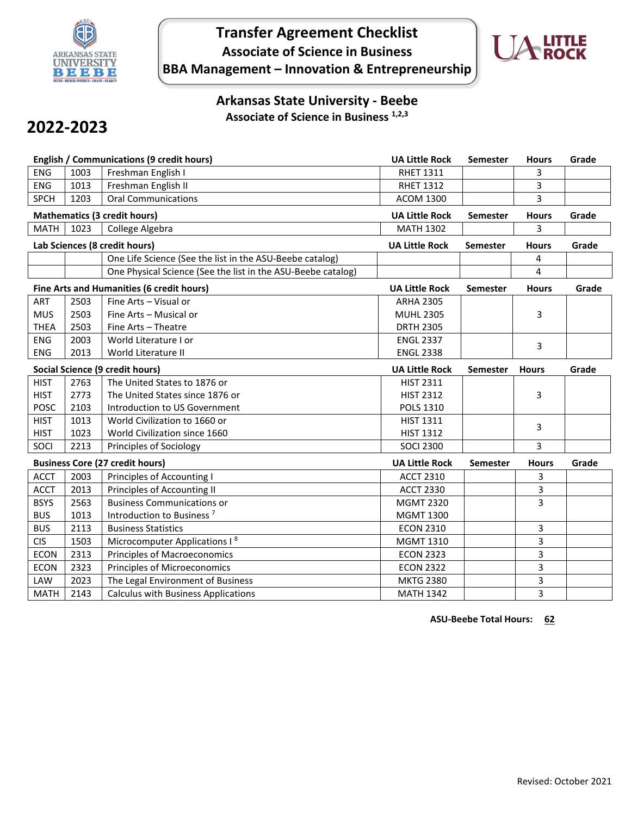

## **Transfer Agreement Checklist Associate of Science in Business BBA Management – Innovation & Entrepreneurship**



## **Arkansas State University - Beebe Associate of Science in Business 1,2,3**

# **2022-2023**

| <b>English / Communications (9 credit hours)</b> |      |                                                              | <b>UA Little Rock</b> | <b>Semester</b> | <b>Hours</b> | Grade |
|--------------------------------------------------|------|--------------------------------------------------------------|-----------------------|-----------------|--------------|-------|
| <b>ENG</b>                                       | 1003 | Freshman English I                                           | <b>RHET 1311</b>      |                 | 3            |       |
| <b>ENG</b>                                       | 1013 | Freshman English II                                          | <b>RHET 1312</b>      |                 | 3            |       |
| <b>SPCH</b>                                      | 1203 | <b>Oral Communications</b>                                   | <b>ACOM 1300</b>      |                 | 3            |       |
| <b>Mathematics (3 credit hours)</b>              |      |                                                              | <b>UA Little Rock</b> | <b>Semester</b> | <b>Hours</b> | Grade |
| <b>MATH</b>                                      | 1023 | College Algebra                                              | <b>MATH 1302</b>      |                 | 3            |       |
| Lab Sciences (8 credit hours)                    |      |                                                              | <b>UA Little Rock</b> | <b>Semester</b> | <b>Hours</b> | Grade |
|                                                  |      | One Life Science (See the list in the ASU-Beebe catalog)     |                       |                 | 4            |       |
|                                                  |      | One Physical Science (See the list in the ASU-Beebe catalog) |                       |                 | 4            |       |
| Fine Arts and Humanities (6 credit hours)        |      |                                                              | <b>UA Little Rock</b> | Semester        | <b>Hours</b> | Grade |
| ART                                              | 2503 | Fine Arts - Visual or                                        | <b>ARHA 2305</b>      |                 |              |       |
| <b>MUS</b>                                       | 2503 | Fine Arts - Musical or                                       | <b>MUHL 2305</b>      |                 | 3            |       |
| <b>THEA</b>                                      | 2503 | Fine Arts - Theatre                                          | <b>DRTH 2305</b>      |                 |              |       |
| <b>ENG</b>                                       | 2003 | World Literature I or                                        | <b>ENGL 2337</b>      |                 | 3            |       |
| <b>ENG</b>                                       | 2013 | World Literature II                                          | <b>ENGL 2338</b>      |                 |              |       |
| Social Science (9 credit hours)                  |      |                                                              | <b>UA Little Rock</b> | <b>Semester</b> | <b>Hours</b> | Grade |
| <b>HIST</b>                                      | 2763 | The United States to 1876 or                                 | <b>HIST 2311</b>      |                 |              |       |
| <b>HIST</b>                                      | 2773 | The United States since 1876 or                              | <b>HIST 2312</b>      |                 | 3            |       |
| <b>POSC</b>                                      | 2103 | Introduction to US Government                                | <b>POLS 1310</b>      |                 |              |       |
| <b>HIST</b>                                      | 1013 | World Civilization to 1660 or                                | <b>HIST 1311</b>      |                 | 3            |       |
| <b>HIST</b>                                      | 1023 | World Civilization since 1660                                | <b>HIST 1312</b>      |                 |              |       |
| SOCI                                             | 2213 | Principles of Sociology                                      | <b>SOCI 2300</b>      |                 | 3            |       |
| <b>Business Core (27 credit hours)</b>           |      |                                                              | <b>UA Little Rock</b> | <b>Semester</b> | <b>Hours</b> | Grade |
| <b>ACCT</b>                                      | 2003 | Principles of Accounting I                                   | <b>ACCT 2310</b>      |                 | 3            |       |
| <b>ACCT</b>                                      | 2013 | Principles of Accounting II                                  | <b>ACCT 2330</b>      |                 | 3            |       |
| <b>BSYS</b>                                      | 2563 | <b>Business Communications or</b>                            | <b>MGMT 2320</b>      |                 | 3            |       |
| <b>BUS</b>                                       | 1013 | Introduction to Business <sup>7</sup>                        | <b>MGMT 1300</b>      |                 |              |       |
| <b>BUS</b>                                       | 2113 | <b>Business Statistics</b>                                   | <b>ECON 2310</b>      |                 | 3            |       |
| <b>CIS</b>                                       | 1503 | Microcomputer Applications I <sup>8</sup>                    | MGMT 1310             |                 | 3            |       |
| <b>ECON</b>                                      | 2313 | <b>Principles of Macroeconomics</b>                          | <b>ECON 2323</b>      |                 | 3            |       |
| <b>ECON</b>                                      | 2323 | <b>Principles of Microeconomics</b>                          | <b>ECON 2322</b>      |                 | 3            |       |
| LAW                                              | 2023 | The Legal Environment of Business                            | <b>MKTG 2380</b>      |                 | 3            |       |
| <b>MATH</b>                                      | 2143 | <b>Calculus with Business Applications</b>                   | <b>MATH 1342</b>      |                 | 3            |       |

**ASU-Beebe Total Hours: 62**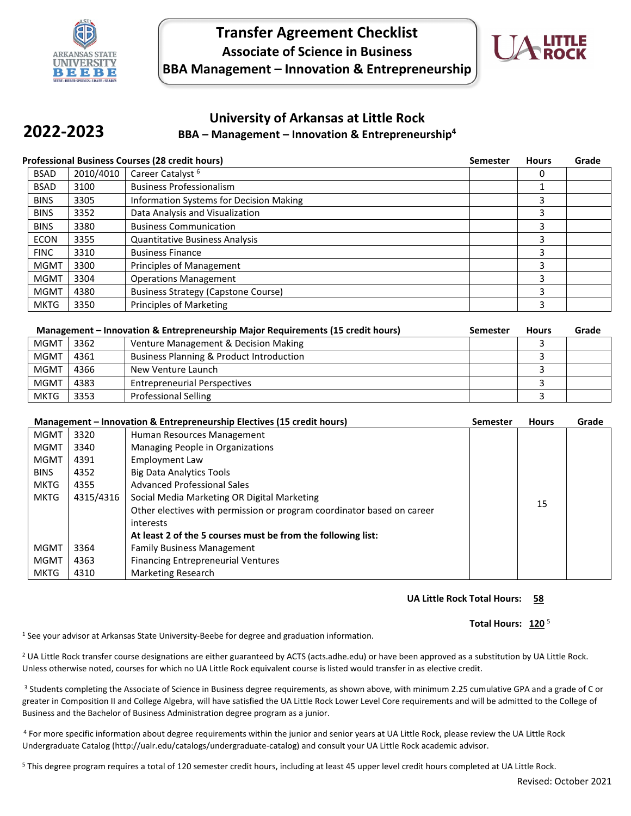

**2022-2023**

## **Transfer Agreement Checklist Associate of Science in Business BBA Management – Innovation & Entrepreneurship**



### **University of Arkansas at Little Rock BBA – Management – Innovation & Entrepreneurship4**

| <b>Professional Business Courses (28 credit hours)</b> |           |                                            | <b>Semester</b> | <b>Hours</b> | Grade |
|--------------------------------------------------------|-----------|--------------------------------------------|-----------------|--------------|-------|
| <b>BSAD</b>                                            | 2010/4010 | Career Catalyst <sup>6</sup>               |                 |              |       |
| <b>BSAD</b>                                            | 3100      | <b>Business Professionalism</b>            |                 |              |       |
| <b>BINS</b>                                            | 3305      | Information Systems for Decision Making    |                 | Р            |       |
| <b>BINS</b>                                            | 3352      | Data Analysis and Visualization            |                 | З            |       |
| <b>BINS</b>                                            | 3380      | <b>Business Communication</b>              |                 | 3            |       |
| <b>ECON</b>                                            | 3355      | <b>Quantitative Business Analysis</b>      |                 | З            |       |
| <b>FINC</b>                                            | 3310      | <b>Business Finance</b>                    |                 |              |       |
| <b>MGMT</b>                                            | 3300      | <b>Principles of Management</b>            |                 | З            |       |
| <b>MGMT</b>                                            | 3304      | <b>Operations Management</b>               |                 | З            |       |
| <b>MGMT</b>                                            | 4380      | <b>Business Strategy (Capstone Course)</b> |                 | 3            |       |
| <b>MKTG</b>                                            | 3350      | Principles of Marketing                    |                 | 3            |       |

| Management – Innovation & Entrepreneurship Major Requirements (15 credit hours) |      |                                          | <b>Semester</b> | <b>Hours</b> | Grade |
|---------------------------------------------------------------------------------|------|------------------------------------------|-----------------|--------------|-------|
| MGMT                                                                            | 3362 | Venture Management & Decision Making     |                 |              |       |
| <b>MGMT</b>                                                                     | 4361 | Business Planning & Product Introduction |                 |              |       |
| <b>MGMT</b>                                                                     | 4366 | New Venture Launch                       |                 |              |       |
| <b>MGMT</b>                                                                     | 4383 | <b>Entrepreneurial Perspectives</b>      |                 |              |       |
| <b>MKTG</b>                                                                     | 3353 | <b>Professional Selling</b>              |                 |              |       |

| Management - Innovation & Entrepreneurship Electives (15 credit hours) |           |                                                                        | Semester | <b>Hours</b> | Grade |
|------------------------------------------------------------------------|-----------|------------------------------------------------------------------------|----------|--------------|-------|
| <b>MGMT</b>                                                            | 3320      | Human Resources Management                                             |          |              |       |
| MGMT                                                                   | 3340      | Managing People in Organizations                                       |          |              |       |
| <b>MGMT</b>                                                            | 4391      | <b>Employment Law</b>                                                  |          |              |       |
| <b>BINS</b>                                                            | 4352      | <b>Big Data Analytics Tools</b>                                        |          |              |       |
| <b>MKTG</b>                                                            | 4355      | <b>Advanced Professional Sales</b>                                     |          |              |       |
| <b>MKTG</b>                                                            | 4315/4316 | Social Media Marketing OR Digital Marketing                            |          |              |       |
|                                                                        |           | Other electives with permission or program coordinator based on career |          | 15           |       |
|                                                                        |           | interests                                                              |          |              |       |
|                                                                        |           | At least 2 of the 5 courses must be from the following list:           |          |              |       |
| <b>MGMT</b>                                                            | 3364      | <b>Family Business Management</b>                                      |          |              |       |
| <b>MGMT</b>                                                            | 4363      | <b>Financing Entrepreneurial Ventures</b>                              |          |              |       |
| <b>MKTG</b>                                                            | 4310      | Marketing Research                                                     |          |              |       |

#### **UA Little Rock Total Hours: 58**

#### Total Hours: 120<sup>5</sup>

1 See your advisor at Arkansas State University-Beebe for degree and graduation information.

<sup>2</sup> UA Little Rock transfer course designations are either guaranteed by ACTS (acts.adhe.edu) or have been approved as a substitution by UA Little Rock. Unless otherwise noted, courses for which no UA Little Rock equivalent course is listed would transfer in as elective credit.

<sup>3</sup> Students completing the Associate of Science in Business degree requirements, as shown above, with minimum 2.25 cumulative GPA and a grade of C or greater in Composition II and College Algebra, will have satisfied the UA Little Rock Lower Level Core requirements and will be admitted to the College of Business and the Bachelor of Business Administration degree program as a junior.

<sup>4</sup> For more specific information about degree requirements within the junior and senior years at UA Little Rock, please review the UA Little Rock Undergraduate Catalog (http://ualr.edu/catalogs/undergraduate-catalog) and consult your UA Little Rock academic advisor.

<sup>5</sup> This degree program requires a total of 120 semester credit hours, including at least 45 upper level credit hours completed at UA Little Rock.